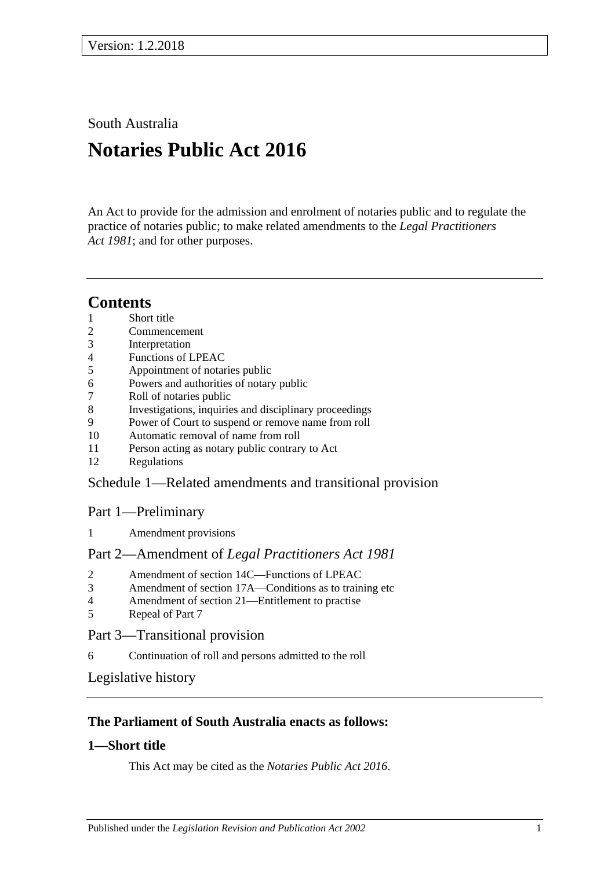South Australia

# **Notaries Public Act 2016**

An Act to provide for the admission and enrolment of notaries public and to regulate the practice of notaries public; to make related amendments to the *[Legal Practitioners](http://www.legislation.sa.gov.au/index.aspx?action=legref&type=act&legtitle=Legal%20Practitioners%20Act%201981)  Act [1981](http://www.legislation.sa.gov.au/index.aspx?action=legref&type=act&legtitle=Legal%20Practitioners%20Act%201981)*; and for other purposes.

## **Contents**

- 1 [Short title](#page-0-0)
- 2 [Commencement](#page-1-0)
- 3 [Interpretation](#page-1-1)
- 4 [Functions of LPEAC](#page-1-2)
- 5 [Appointment of notaries public](#page-2-0)
- 6 [Powers and authorities of notary public](#page-2-1)
- 7 [Roll of notaries public](#page-2-2)
- 8 [Investigations, inquiries and disciplinary proceedings](#page-3-0)
- 9 [Power of Court to suspend or remove name from roll](#page-3-1)
- 10 [Automatic removal of name from roll](#page-4-0)
- 11 [Person acting as notary public contrary to Act](#page-4-1)
- 12 [Regulations](#page-4-2)

## Schedule [1—Related amendments and transitional provision](#page-4-3)

#### Part 1—Preliminary

1 [Amendment provisions](#page-4-4)

#### Part 2—Amendment of *Legal Practitioners Act 1981*

- 2 [Amendment of section 14C—Functions of LPEAC](#page-4-5)
- 3 [Amendment of section 17A—Conditions as to training etc](#page-4-6)
- 4 [Amendment of section 21—Entitlement to practise](#page-5-0)
- 5 [Repeal of Part 7](#page-5-1)

#### Part 3—Transitional provision

6 [Continuation of roll and persons admitted to the roll](#page-5-2)

[Legislative history](#page-6-0)

## **The Parliament of South Australia enacts as follows:**

## <span id="page-0-0"></span>**1—Short title**

This Act may be cited as the *Notaries Public Act 2016*.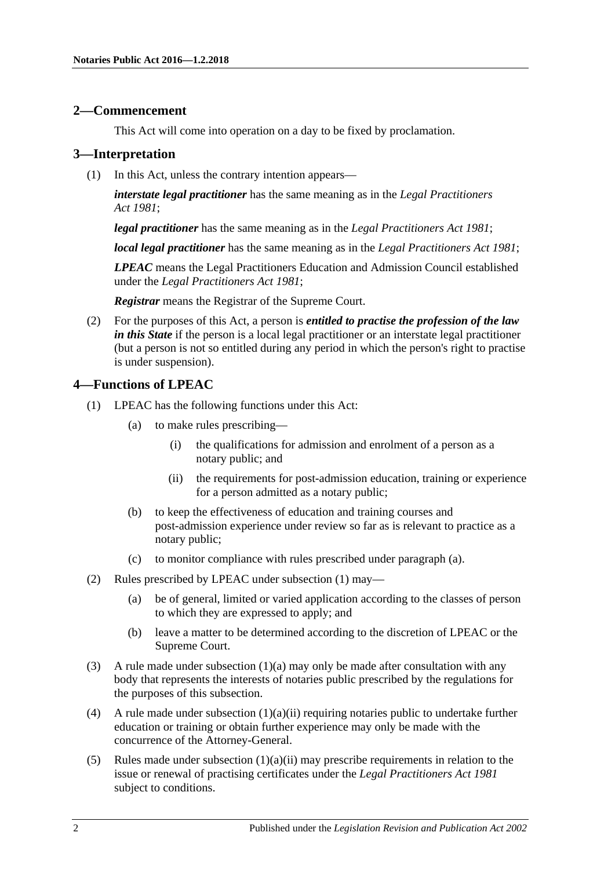#### <span id="page-1-0"></span>**2—Commencement**

This Act will come into operation on a day to be fixed by proclamation.

#### <span id="page-1-1"></span>**3—Interpretation**

(1) In this Act, unless the contrary intention appears—

*interstate legal practitioner* has the same meaning as in the *[Legal Practitioners](http://www.legislation.sa.gov.au/index.aspx?action=legref&type=act&legtitle=Legal%20Practitioners%20Act%201981)  Act [1981](http://www.legislation.sa.gov.au/index.aspx?action=legref&type=act&legtitle=Legal%20Practitioners%20Act%201981)*;

*legal practitioner* has the same meaning as in the *[Legal Practitioners Act](http://www.legislation.sa.gov.au/index.aspx?action=legref&type=act&legtitle=Legal%20Practitioners%20Act%201981) 1981*;

*local legal practitioner* has the same meaning as in the *[Legal Practitioners Act](http://www.legislation.sa.gov.au/index.aspx?action=legref&type=act&legtitle=Legal%20Practitioners%20Act%201981) 1981*;

*LPEAC* means the Legal Practitioners Education and Admission Council established under the *[Legal Practitioners Act](http://www.legislation.sa.gov.au/index.aspx?action=legref&type=act&legtitle=Legal%20Practitioners%20Act%201981) 1981*;

*Registrar* means the Registrar of the Supreme Court.

(2) For the purposes of this Act, a person is *entitled to practise the profession of the law in this State* if the person is a local legal practitioner or an interstate legal practitioner (but a person is not so entitled during any period in which the person's right to practise is under suspension).

#### <span id="page-1-4"></span><span id="page-1-2"></span>**4—Functions of LPEAC**

- <span id="page-1-5"></span><span id="page-1-3"></span>(1) LPEAC has the following functions under this Act:
	- (a) to make rules prescribing—
		- (i) the qualifications for admission and enrolment of a person as a notary public; and
		- (ii) the requirements for post-admission education, training or experience for a person admitted as a notary public;
	- (b) to keep the effectiveness of education and training courses and post-admission experience under review so far as is relevant to practice as a notary public;
	- (c) to monitor compliance with rules prescribed under [paragraph](#page-1-3) (a).
- (2) Rules prescribed by LPEAC under [subsection](#page-1-4) (1) may—
	- (a) be of general, limited or varied application according to the classes of person to which they are expressed to apply; and
	- (b) leave a matter to be determined according to the discretion of LPEAC or the Supreme Court.
- (3) A rule made under [subsection](#page-1-3)  $(1)(a)$  may only be made after consultation with any body that represents the interests of notaries public prescribed by the regulations for the purposes of this subsection.
- (4) A rule made under [subsection](#page-1-5)  $(1)(a)(ii)$  requiring notaries public to undertake further education or training or obtain further experience may only be made with the concurrence of the Attorney-General.
- (5) Rules made under [subsection](#page-1-5)  $(1)(a)(ii)$  may prescribe requirements in relation to the issue or renewal of practising certificates under the *[Legal Practitioners Act](http://www.legislation.sa.gov.au/index.aspx?action=legref&type=act&legtitle=Legal%20Practitioners%20Act%201981) 1981* subject to conditions.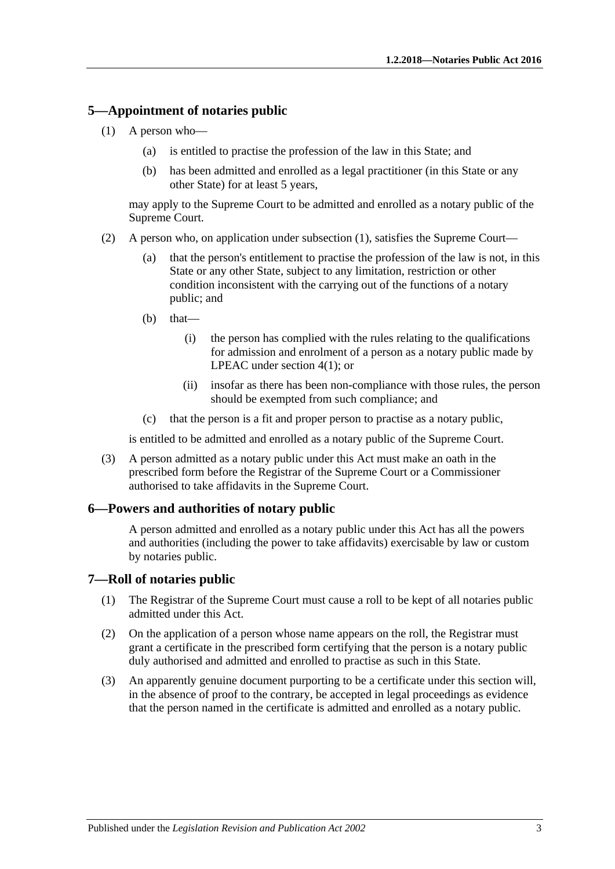#### <span id="page-2-3"></span><span id="page-2-0"></span>**5—Appointment of notaries public**

- (1) A person who—
	- (a) is entitled to practise the profession of the law in this State; and
	- (b) has been admitted and enrolled as a legal practitioner (in this State or any other State) for at least 5 years,

may apply to the Supreme Court to be admitted and enrolled as a notary public of the Supreme Court.

- (2) A person who, on application under [subsection](#page-2-3) (1), satisfies the Supreme Court—
	- (a) that the person's entitlement to practise the profession of the law is not, in this State or any other State, subject to any limitation, restriction or other condition inconsistent with the carrying out of the functions of a notary public; and
	- (b) that—
		- (i) the person has complied with the rules relating to the qualifications for admission and enrolment of a person as a notary public made by LPEAC under [section](#page-1-4) 4(1); or
		- (ii) insofar as there has been non-compliance with those rules, the person should be exempted from such compliance; and
	- (c) that the person is a fit and proper person to practise as a notary public,

is entitled to be admitted and enrolled as a notary public of the Supreme Court.

(3) A person admitted as a notary public under this Act must make an oath in the prescribed form before the Registrar of the Supreme Court or a Commissioner authorised to take affidavits in the Supreme Court.

#### <span id="page-2-1"></span>**6—Powers and authorities of notary public**

A person admitted and enrolled as a notary public under this Act has all the powers and authorities (including the power to take affidavits) exercisable by law or custom by notaries public.

#### <span id="page-2-2"></span>**7—Roll of notaries public**

- (1) The Registrar of the Supreme Court must cause a roll to be kept of all notaries public admitted under this Act.
- (2) On the application of a person whose name appears on the roll, the Registrar must grant a certificate in the prescribed form certifying that the person is a notary public duly authorised and admitted and enrolled to practise as such in this State.
- (3) An apparently genuine document purporting to be a certificate under this section will, in the absence of proof to the contrary, be accepted in legal proceedings as evidence that the person named in the certificate is admitted and enrolled as a notary public.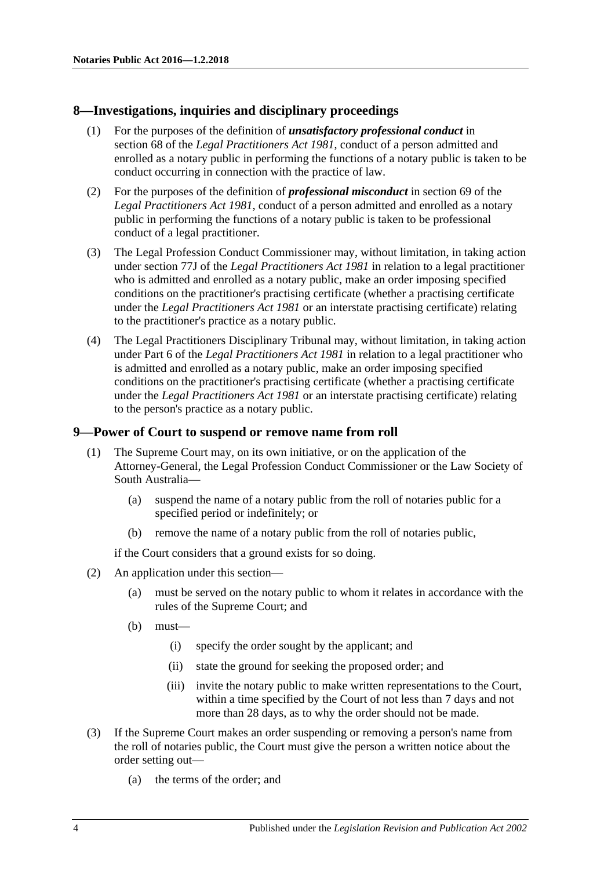#### <span id="page-3-0"></span>**8—Investigations, inquiries and disciplinary proceedings**

- (1) For the purposes of the definition of *unsatisfactory professional conduct* in section 68 of the *[Legal Practitioners Act](http://www.legislation.sa.gov.au/index.aspx?action=legref&type=act&legtitle=Legal%20Practitioners%20Act%201981) 1981*, conduct of a person admitted and enrolled as a notary public in performing the functions of a notary public is taken to be conduct occurring in connection with the practice of law.
- (2) For the purposes of the definition of *professional misconduct* in section 69 of the *[Legal Practitioners Act](http://www.legislation.sa.gov.au/index.aspx?action=legref&type=act&legtitle=Legal%20Practitioners%20Act%201981) 1981*, conduct of a person admitted and enrolled as a notary public in performing the functions of a notary public is taken to be professional conduct of a legal practitioner.
- (3) The Legal Profession Conduct Commissioner may, without limitation, in taking action under section 77J of the *[Legal Practitioners Act](http://www.legislation.sa.gov.au/index.aspx?action=legref&type=act&legtitle=Legal%20Practitioners%20Act%201981) 1981* in relation to a legal practitioner who is admitted and enrolled as a notary public, make an order imposing specified conditions on the practitioner's practising certificate (whether a practising certificate under the *[Legal Practitioners Act](http://www.legislation.sa.gov.au/index.aspx?action=legref&type=act&legtitle=Legal%20Practitioners%20Act%201981) 1981* or an interstate practising certificate) relating to the practitioner's practice as a notary public.
- (4) The Legal Practitioners Disciplinary Tribunal may, without limitation, in taking action under Part 6 of the *[Legal Practitioners Act](http://www.legislation.sa.gov.au/index.aspx?action=legref&type=act&legtitle=Legal%20Practitioners%20Act%201981) 1981* in relation to a legal practitioner who is admitted and enrolled as a notary public, make an order imposing specified conditions on the practitioner's practising certificate (whether a practising certificate under the *[Legal Practitioners Act](http://www.legislation.sa.gov.au/index.aspx?action=legref&type=act&legtitle=Legal%20Practitioners%20Act%201981) 1981* or an interstate practising certificate) relating to the person's practice as a notary public.

#### <span id="page-3-1"></span>**9—Power of Court to suspend or remove name from roll**

- (1) The Supreme Court may, on its own initiative, or on the application of the Attorney-General, the Legal Profession Conduct Commissioner or the Law Society of South Australia—
	- (a) suspend the name of a notary public from the roll of notaries public for a specified period or indefinitely; or
	- (b) remove the name of a notary public from the roll of notaries public,

if the Court considers that a ground exists for so doing.

- (2) An application under this section—
	- (a) must be served on the notary public to whom it relates in accordance with the rules of the Supreme Court; and
	- (b) must—
		- (i) specify the order sought by the applicant; and
		- (ii) state the ground for seeking the proposed order; and
		- (iii) invite the notary public to make written representations to the Court, within a time specified by the Court of not less than 7 days and not more than 28 days, as to why the order should not be made.
- (3) If the Supreme Court makes an order suspending or removing a person's name from the roll of notaries public, the Court must give the person a written notice about the order setting out—
	- (a) the terms of the order; and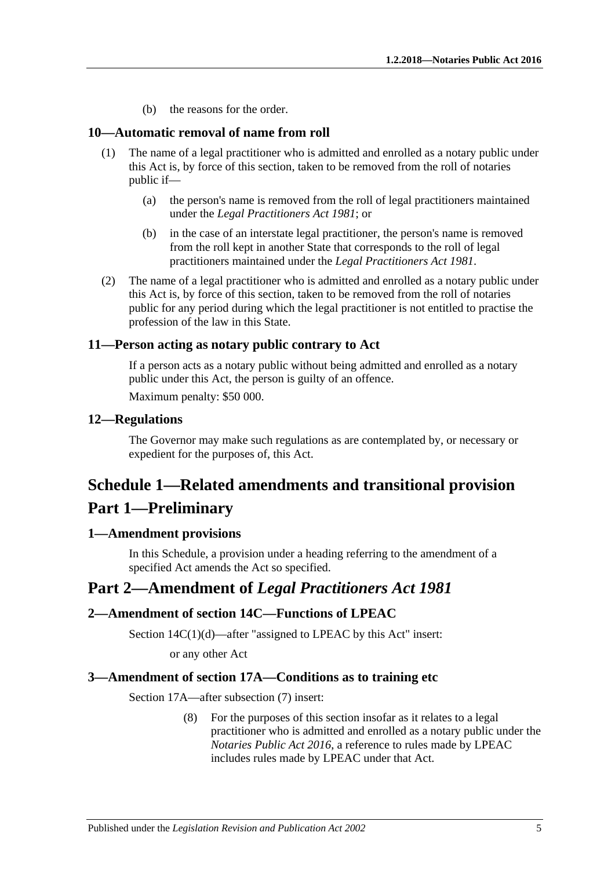(b) the reasons for the order.

#### <span id="page-4-0"></span>**10—Automatic removal of name from roll**

- (1) The name of a legal practitioner who is admitted and enrolled as a notary public under this Act is, by force of this section, taken to be removed from the roll of notaries public if—
	- (a) the person's name is removed from the roll of legal practitioners maintained under the *[Legal Practitioners Act](http://www.legislation.sa.gov.au/index.aspx?action=legref&type=act&legtitle=Legal%20Practitioners%20Act%201981) 1981*; or
	- (b) in the case of an interstate legal practitioner, the person's name is removed from the roll kept in another State that corresponds to the roll of legal practitioners maintained under the *[Legal Practitioners Act](http://www.legislation.sa.gov.au/index.aspx?action=legref&type=act&legtitle=Legal%20Practitioners%20Act%201981) 1981*.
- (2) The name of a legal practitioner who is admitted and enrolled as a notary public under this Act is, by force of this section, taken to be removed from the roll of notaries public for any period during which the legal practitioner is not entitled to practise the profession of the law in this State.

#### <span id="page-4-1"></span>**11—Person acting as notary public contrary to Act**

If a person acts as a notary public without being admitted and enrolled as a notary public under this Act, the person is guilty of an offence.

Maximum penalty: \$50 000.

#### <span id="page-4-2"></span>**12—Regulations**

The Governor may make such regulations as are contemplated by, or necessary or expedient for the purposes of, this Act.

## <span id="page-4-3"></span>**Schedule 1—Related amendments and transitional provision Part 1—Preliminary**

#### <span id="page-4-4"></span>**1—Amendment provisions**

In this Schedule, a provision under a heading referring to the amendment of a specified Act amends the Act so specified.

## **Part 2—Amendment of** *Legal Practitioners Act 1981*

#### <span id="page-4-5"></span>**2—Amendment of section 14C—Functions of LPEAC**

Section 14C(1)(d)—after "assigned to LPEAC by this Act" insert:

or any other Act

#### <span id="page-4-6"></span>**3—Amendment of section 17A—Conditions as to training etc**

Section 17A—after subsection (7) insert:

(8) For the purposes of this section insofar as it relates to a legal practitioner who is admitted and enrolled as a notary public under the *[Notaries Public Act](http://www.legislation.sa.gov.au/index.aspx?action=legref&type=act&legtitle=Notaries%20Public%20Act%202016) 2016*, a reference to rules made by LPEAC includes rules made by LPEAC under that Act.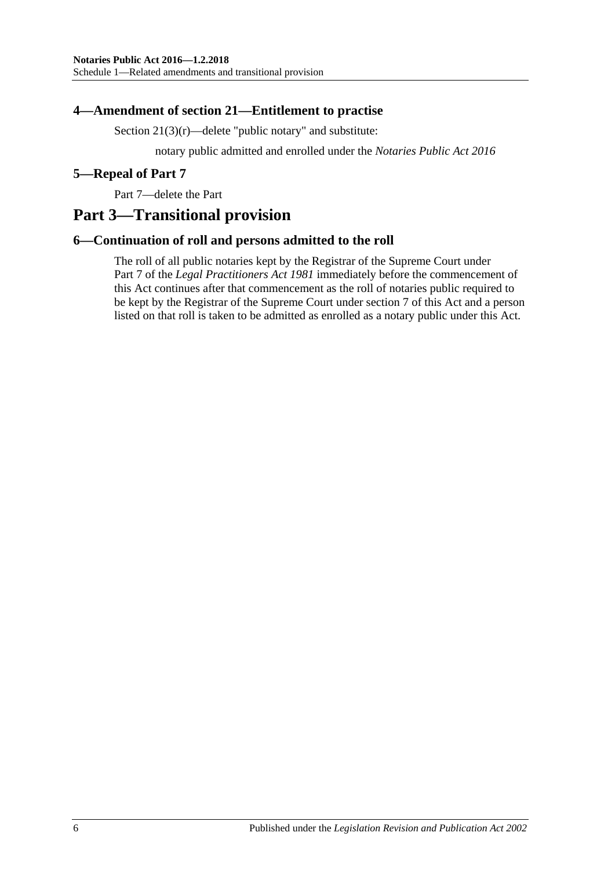#### <span id="page-5-0"></span>**4—Amendment of section 21—Entitlement to practise**

Section  $21(3)(r)$ —delete "public notary" and substitute:

notary public admitted and enrolled under the *[Notaries Public Act](http://www.legislation.sa.gov.au/index.aspx?action=legref&type=act&legtitle=Notaries%20Public%20Act%202016) 2016*

#### <span id="page-5-1"></span>**5—Repeal of Part 7**

Part 7—delete the Part

## **Part 3—Transitional provision**

#### <span id="page-5-2"></span>**6—Continuation of roll and persons admitted to the roll**

The roll of all public notaries kept by the Registrar of the Supreme Court under Part 7 of the *[Legal Practitioners Act](http://www.legislation.sa.gov.au/index.aspx?action=legref&type=act&legtitle=Legal%20Practitioners%20Act%201981) 1981* immediately before the commencement of this Act continues after that commencement as the roll of notaries public required to be kept by the Registrar of the Supreme Court under [section](#page-2-2) 7 of this Act and a person listed on that roll is taken to be admitted as enrolled as a notary public under this Act.